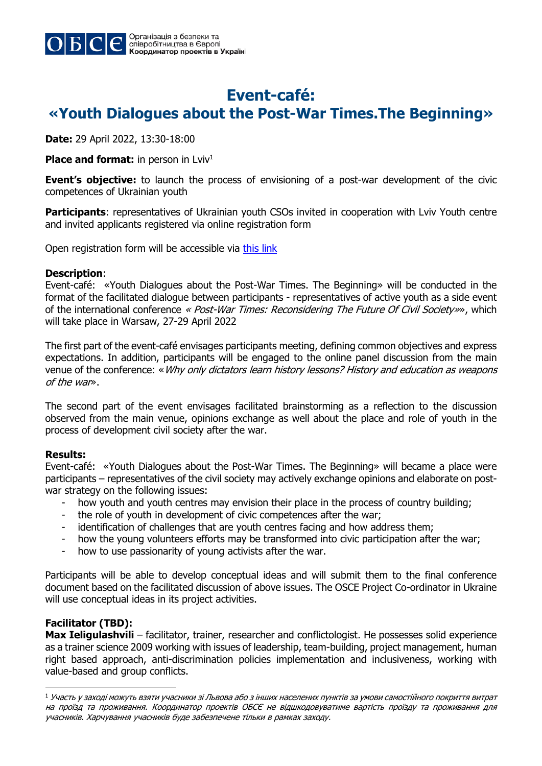

## **Event-café: «Youth Dialogues about the Post-War Times.The Beginning»**

**Date:** 29 April 2022, 13:30-18:00

**Place and format:** in person in Lviv<sup>1</sup>

**Event's objective:** to launch the process of envisioning of a post-war development of the civic competences of Ukrainian youth

**Participants:** representatives of Ukrainian youth CSOs invited in cooperation with Lviv Youth centre and invited applicants registered via online registration form

Open registration form will be accessible via this link

#### **Description**:

Event-café: «Youth Dialogues about the Post-War Times. The Beginning» will be conducted in the format of the facilitated dialogue between participants - representatives of active youth as a side event of the international conference « Post-War Times: Reconsidering The Future Of Civil Society»», which will take place in Warsaw, 27-29 April 2022

The first part of the event-café envisages participants meeting, defining common objectives and express expectations. In addition, participants will be engaged to the online panel discussion from the main venue of the conference: «Why only dictators learn history lessons? History and education as weapons of the war».

The second part of the event envisages facilitated brainstorming as a reflection to the discussion observed from the main venue, opinions exchange as well about the place and role of youth in the process of development civil society after the war.

### **Results:**

Event-café: «Youth Dialogues about the Post-War Times. The Beginning» will became a place were participants – representatives of the civil society may actively exchange opinions and elaborate on postwar strategy on the following issues:

- how youth and youth centres may envision their place in the process of country building;
- the role of youth in development of civic competences after the war;
- identification of challenges that are youth centres facing and how address them;
- how the young volunteers efforts may be transformed into civic participation after the war;
- how to use passionarity of young activists after the war.

Participants will be able to develop conceptual ideas and will submit them to the final conference document based on the facilitated discussion of above issues. The OSCE Project Co-ordinator in Ukraine will use conceptual ideas in its project activities.

### **Facilitator (TBD):**

j

**Max Ieligulashvili** – facilitator, trainer, researcher and conflictologist. He possesses solid experience as a trainer science 2009 working with issues of leadership, team-building, project management, human right based approach, anti-discrimination policies implementation and inclusiveness, working with value-based and group conflicts.

 $^{\rm 1}$  Участь у заході можуть взяти учасники зі Львова або з інших населених пунктів за умови самостійного покриття витрат на проїзд та проживання. Координатор проектів ОБСЄ не відшкодовуватиме вартість проїзду та проживання для учасників. Харчування учасників буде забезпечене тільки в рамках заходу.